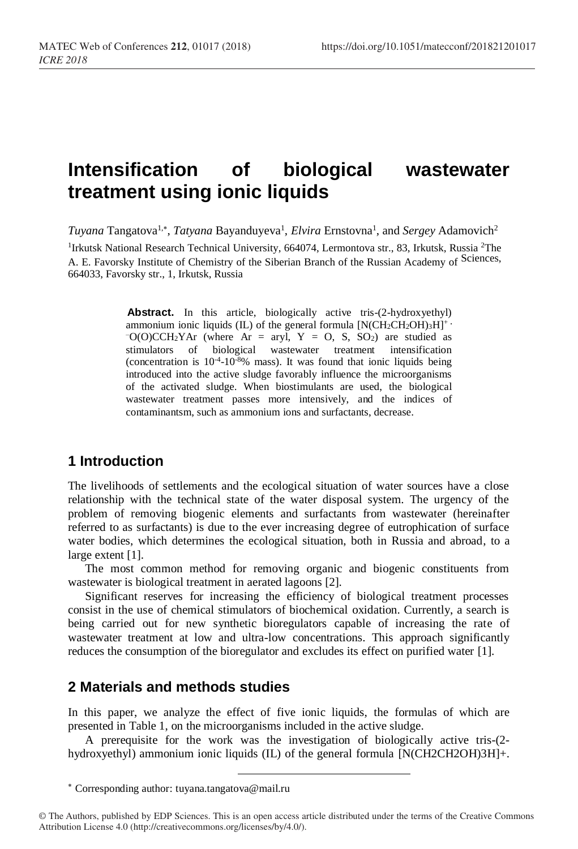# **Intensification of biological wastewater treatment using ionic liquids**

Tuyana Tangatova<sup>1,\*</sup>, *Tatyana* Bayanduyeva<sup>1</sup>, *Elvira* Ernstovna<sup>1</sup>, and *Sergey* Adamovich<sup>2</sup>

<sup>1</sup>Irkutsk National Research Technical University, 664074, Lermontova str., 83, Irkutsk, Russia<sup>2</sup>The A. E. Favorsky Institute of Chemistry of the Siberian Branch of the Russian Academy of Sciences, 664033, Favorsky str., 1, Irkutsk, Russia

> Abstract. In this article, biologically active tris-(2-hydroxyethyl) ammonium ionic liquids (IL) of the general formula  $[N(CH_2CH_2OH)_3H]^+$ .  $-C(O)CCH<sub>2</sub>YAr$  (where Ar = aryl, Y = O, S, SO<sub>2</sub>) are studied as stimulators of biological wastewater treatment intensification (concentration is  $10^{-4}$ -10<sup>-8</sup>% mass). It was found that ionic liquids being introduced into the active sludge favorably influence the microorganisms of the activated sludge. When biostimulants are used, the biological wastewater treatment passes more intensively, and the indices of contaminantsm, such as ammonium ions and surfactants, decrease.

### **1 Introduction**

The livelihoods of settlements and the ecological situation of water sources have a close relationship with the technical state of the water disposal system. The urgency of the problem of removing biogenic elements and surfactants from wastewater (hereinafter referred to as surfactants) is due to the ever increasing degree of eutrophication of surface water bodies, which determines the ecological situation, both in Russia and abroad, to a large extent [1].

The most common method for removing organic and biogenic constituents from wastewater is biological treatment in aerated lagoons [2].

Significant reserves for increasing the efficiency of biological treatment processes consist in the use of chemical stimulators of biochemical oxidation. Currently, a search is being carried out for new synthetic bioregulators capable of increasing the rate of wastewater treatment at low and ultra-low concentrations. This approach significantly reduces the consumption of the bioregulator and excludes its effect on purified water [1].

#### **2 Materials and methods studies**

In this paper, we analyze the effect of five ionic liquids, the formulas of which are presented in Table 1, on the microorganisms included in the active sludge.

A prerequisite for the work was the investigation of biologically active tris-(2 hydroxyethyl) ammonium ionic liquids (IL) of the general formula [N(CH2CH2OH)3H]+.

Corresponding author: [tuyana.tangatova@mail.ru](mailto:tuyana.tangatova@mail.ru)

<sup>©</sup> The Authors, published by EDP Sciences. This is an open access article distributed under the terms of the Creative Commons Attribution License 4.0 (http://creativecommons.org/licenses/by/4.0/).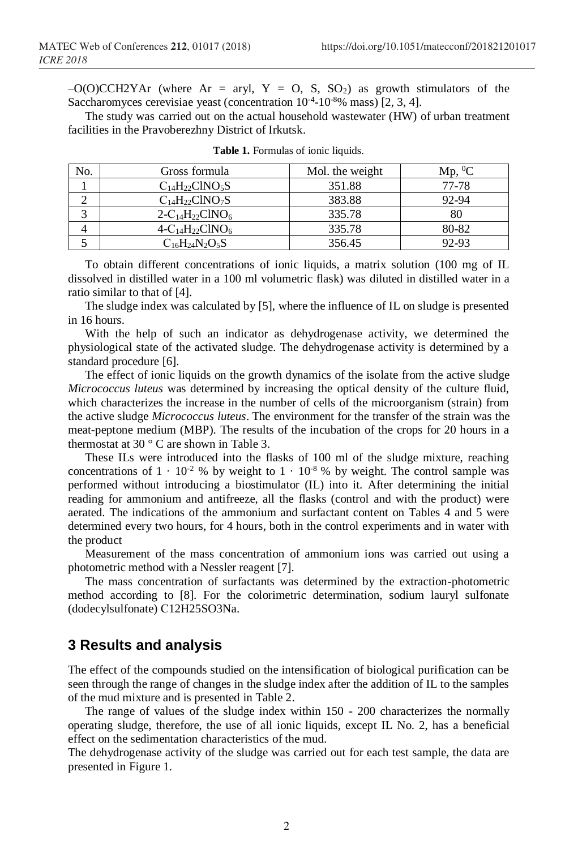$-O(O)CCH2YAr$  (where Ar = aryl, Y = O, S, SO<sub>2</sub>) as growth stimulators of the Saccharomyces cerevisiae yeast (concentration  $10^{-4}$ - $10^{-8}\%$  mass) [2, 3, 4].

The study was carried out on the actual household wastewater (HW) of urban treatment facilities in the Pravoberezhny District of Irkutsk.

| No. | Gross formula                                       | Mol. the weight | Mp.   |
|-----|-----------------------------------------------------|-----------------|-------|
|     | $C_{14}H_{22}CINO_{5}S$                             | 351.88          | 77-78 |
|     | $C_{14}H_{22}CINO_{7}S$                             | 383.88          | 92-94 |
|     | $2 - C_{14}H_{22}CINO_{6}$                          | 335.78          | 80    |
|     | 4-C <sub>14</sub> H <sub>22</sub> ClNO <sub>6</sub> | 335.78          | 80-82 |
|     | $\mathrm{C_{16}H_{24}N_2O_5S}$                      | 356.45          | 92-93 |

|  | <b>Table 1.</b> Formulas of ionic liquids. |  |  |
|--|--------------------------------------------|--|--|
|  |                                            |  |  |

To obtain different concentrations of ionic liquids, a matrix solution (100 mg of IL dissolved in distilled water in a 100 ml volumetric flask) was diluted in distilled water in a ratio similar to that of [4].

The sludge index was calculated by [5], where the influence of IL on sludge is presented in 16 hours.

With the help of such an indicator as dehydrogenase activity, we determined the physiological state of the activated sludge. The dehydrogenase activity is determined by a standard procedure [6].

The effect of ionic liquids on the growth dynamics of the isolate from the active sludge *Micrococcus luteus* was determined by increasing the optical density of the culture fluid, which characterizes the increase in the number of cells of the microorganism (strain) from the active sludge *Micrococcus luteus*. The environment for the transfer of the strain was the meat-peptone medium (MBP). The results of the incubation of the crops for 20 hours in a thermostat at 30 $\degree$  C are shown in Table 3.

These ILs were introduced into the flasks of 100 ml of the sludge mixture, reaching concentrations of  $1 \cdot 10^{-2}$  % by weight to  $1 \cdot 10^{-8}$  % by weight. The control sample was performed without introducing a biostimulator (IL) into it. After determining the initial reading for ammonium and antifreeze, all the flasks (control and with the product) were aerated. The indications of the ammonium and surfactant content on Tables 4 and 5 were determined every two hours, for 4 hours, both in the control experiments and in water with the product

Measurement of the mass concentration of ammonium ions was carried out using a photometric method with a Nessler reagent [7].

The mass concentration of surfactants was determined by the extraction-photometric method according to [8]. For the colorimetric determination, sodium lauryl sulfonate (dodecylsulfonate) С12H25SO3Na.

#### **3 Results and analysis**

The effect of the compounds studied on the intensification of biological purification can be seen through the range of changes in the sludge index after the addition of IL to the samples of the mud mixture and is presented in Table 2.

The range of values of the sludge index within 150 - 200 characterizes the normally operating sludge, therefore, the use of all ionic liquids, except IL No. 2, has a beneficial effect on the sedimentation characteristics of the mud.

The dehydrogenase activity of the sludge was carried out for each test sample, the data are presented in Figure 1.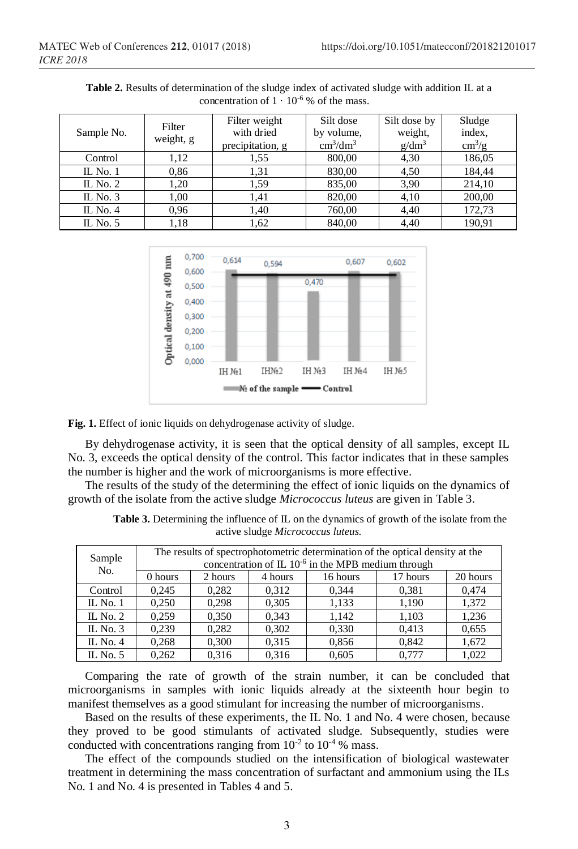| Sample No. | Filter<br>weight, g | Filter weight<br>with dried<br>precipitation, g | Silt dose<br>by volume,<br>$\text{cm}^3/\text{dm}^3$ | Silt dose by<br>weight,<br>$g/dm^3$ | Sludge<br>index,<br>$\text{cm}^3/\text{g}$ |
|------------|---------------------|-------------------------------------------------|------------------------------------------------------|-------------------------------------|--------------------------------------------|
| Control    | 1,12                | 1.55                                            | 800,00                                               | 4,30                                | 186,05                                     |
| IL No. $1$ | 0,86                | 1.31                                            | 830,00                                               | 4,50                                | 184,44                                     |
| IL No. $2$ | 1.20                | 1.59                                            | 835,00                                               | 3,90                                | 214,10                                     |
| IL No. $3$ | 1,00                | 1.41                                            | 820,00                                               | 4,10                                | 200,00                                     |
| IL No. $4$ | 0,96                | 1.40                                            | 760,00                                               | 4,40                                | 172,73                                     |
| IL No. $5$ | 1.18                | 1,62                                            | 840,00                                               | 4.40                                | 190.91                                     |

**Table 2.** Results of determination of the sludge index of activated sludge with addition IL at a concentration of  $1 \cdot 10^{-6}$  % of the mass.



Fig. 1. Effect of ionic liquids on dehydrogenase activity of sludge.

By dehydrogenase activity, it is seen that the optical density of all samples, except IL No. 3, exceeds the optical density of the control. This factor indicates that in these samples the number is higher and the work of microorganisms is more effective.

The results of the study of the determining the effect of ionic liquids on the dynamics of growth of the isolate from the active sludge *Micrococcus luteus* are given in Table 3.

| Sample<br>No. | The results of spectrophotometric determination of the optical density at the<br>concentration of IL $10^{-6}$ in the MPB medium through |         |         |          |          |          |
|---------------|------------------------------------------------------------------------------------------------------------------------------------------|---------|---------|----------|----------|----------|
|               | 0 hours                                                                                                                                  | 2 hours | 4 hours | 16 hours | 17 hours | 20 hours |
| Control       | 0.245                                                                                                                                    | 0.282   | 0.312   | 0.344    | 0.381    | 0.474    |
| IL No. $1$    | 0.250                                                                                                                                    | 0.298   | 0,305   | 1.133    | 1.190    | 1,372    |
| IL No. $2$    | 0.259                                                                                                                                    | 0.350   | 0.343   | 1.142    | 1,103    | 1,236    |
| IL No. $3$    | 0.239                                                                                                                                    | 0.282   | 0.302   | 0.330    | 0.413    | 0.655    |
| IL No. $4$    | 0.268                                                                                                                                    | 0.300   | 0.315   | 0.856    | 0.842    | 1,672    |
| IL No. $5$    | 0.262                                                                                                                                    | 0.316   | 0.316   | 0.605    | 0.777    | 1.022    |

**Table 3.** Determining the influence of IL on the dynamics of growth of the isolate from the active sludge *Micrococcus luteus.*

Comparing the rate of growth of the strain number, it can be concluded that microorganisms in samples with ionic liquids already at the sixteenth hour begin to manifest themselves as a good stimulant for increasing the number of microorganisms.

Based on the results of these experiments, the IL No. 1 and No. 4 were chosen, because they proved to be good stimulants of activated sludge. Subsequently, studies were conducted with concentrations ranging from  $10^{-2}$  to  $10^{-4}$  % mass.

The effect of the compounds studied on the intensification of biological wastewater treatment in determining the mass concentration of surfactant and ammonium using the ILs No. 1 and No. 4 is presented in Tables 4 and 5.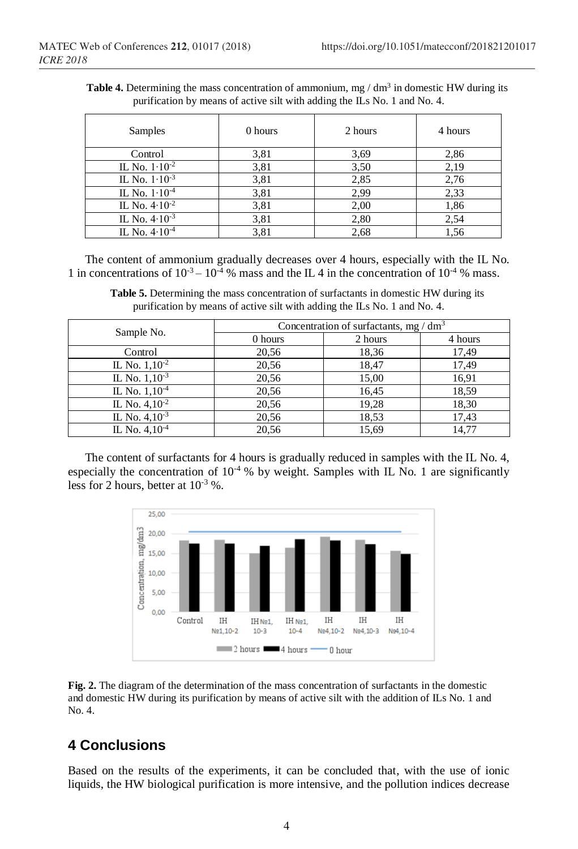**Table 4.** Determining the mass concentration of ammonium, mg  $/$  dm<sup>3</sup> in domestic HW during its purification by means of active silt with adding the ILs No. 1 and No. 4.

| Samples                  | 0 hours | 2 hours | 4 hours |
|--------------------------|---------|---------|---------|
| Control                  | 3,81    | 3,69    | 2,86    |
| IL No. $1 \cdot 10^{-2}$ | 3,81    | 3,50    | 2,19    |
| IL No. $1 \cdot 10^{-3}$ | 3,81    | 2,85    | 2,76    |
| IL No. $1 \cdot 10^{-4}$ | 3,81    | 2,99    | 2,33    |
| IL No. $4.10^{-2}$       | 3,81    | 2,00    | 1,86    |
| IL No. $4.10^{-3}$       | 3,81    | 2,80    | 2,54    |
| IL No. $4.10^{-4}$       | 3,81    | 2,68    | 1,56    |

The content of ammonium gradually decreases over 4 hours, especially with the IL No. 1 in concentrations of  $10^{-3} - 10^{-4}$  % mass and the IL 4 in the concentration of  $10^{-4}$  % mass.

Table 5. Determining the mass concentration of surfactants in domestic HW during its purification by means of active silt with adding the ILs No. 1 and No. 4.

|                    | Concentration of surfactants, mg / $dm3$ |         |         |  |
|--------------------|------------------------------------------|---------|---------|--|
| Sample No.         | 0 hours                                  | 2 hours | 4 hours |  |
| Control            | 20,56                                    | 18,36   | 17,49   |  |
| IL No. $1,10^{-2}$ | 20,56                                    | 18,47   | 17,49   |  |
| IL No. $1,10^{-3}$ | 20,56                                    | 15,00   | 16,91   |  |
| IL No. $1,10^{-4}$ | 20,56                                    | 16,45   | 18,59   |  |
| IL No. $4,10^{-2}$ | 20,56                                    | 19,28   | 18,30   |  |
| IL No. $4,10^{-3}$ | 20,56                                    | 18.53   | 17,43   |  |
| IL No. $4,10^{-4}$ | 20,56                                    | 15,69   | 14,77   |  |

The content of surfactants for 4 hours is gradually reduced in samples with the IL No. 4, especially the concentration of  $10^{-4}$ % by weight. Samples with IL No. 1 are significantly less for 2 hours, better at  $10^{-3}$  %.



**Fig. 2.** The diagram of the determination of the mass concentration of surfactants in the domestic and domestic HW during its purification by means of active silt with the addition of ILs No. 1 and No. 4.

## **4 Conclusions**

Based on the results of the experiments, it can be concluded that, with the use of ionic liquids, the HW biological purification is more intensive, and the pollution indices decrease